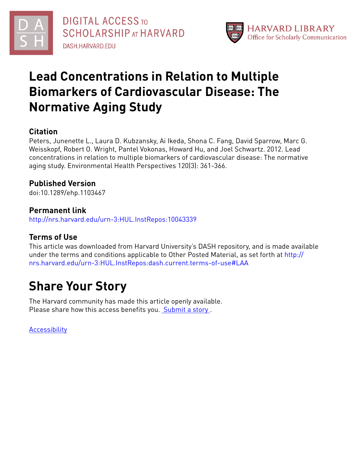



# **Lead Concentrations in Relation to Multiple Biomarkers of Cardiovascular Disease: The Normative Aging Study**

# **Citation**

Peters, Junenette L., Laura D. Kubzansky, Ai Ikeda, Shona C. Fang, David Sparrow, Marc G. Weisskopf, Robert O. Wright, Pantel Vokonas, Howard Hu, and Joel Schwartz. 2012. Lead concentrations in relation to multiple biomarkers of cardiovascular disease: The normative aging study. Environmental Health Perspectives 120(3): 361-366.

# **Published Version**

doi:10.1289/ehp.1103467

## **Permanent link**

<http://nrs.harvard.edu/urn-3:HUL.InstRepos:10043339>

# **Terms of Use**

This article was downloaded from Harvard University's DASH repository, and is made available under the terms and conditions applicable to Other Posted Material, as set forth at [http://](http://nrs.harvard.edu/urn-3:HUL.InstRepos:dash.current.terms-of-use#LAA) [nrs.harvard.edu/urn-3:HUL.InstRepos:dash.current.terms-of-use#LAA](http://nrs.harvard.edu/urn-3:HUL.InstRepos:dash.current.terms-of-use#LAA)

# **Share Your Story**

The Harvard community has made this article openly available. Please share how this access benefits you. [Submit](http://osc.hul.harvard.edu/dash/open-access-feedback?handle=&title=Lead%20Concentrations%20in%20Relation%20to%20Multiple%20Biomarkers%20of%20Cardiovascular%20Disease:%20The%20Normative%20Aging%20Study&community=1/4454685&collection=1/4454686&owningCollection1/4454686&harvardAuthors=15675c8b25b9faa9aaef12201f28856d&department) a story.

[Accessibility](https://dash.harvard.edu/pages/accessibility)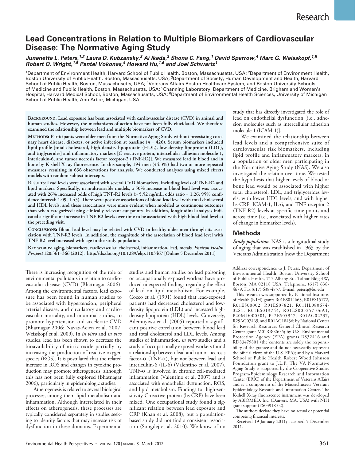## **Lead Concentrations in Relation to Multiple Biomarkers of Cardiovascular Disease: The Normative Aging Study**

### *Junenette L. Peters, 1,2 Laura D. Kubzansky, 3 Ai Ikeda, 3 Shona C. Fang, 1 David Sparrow, 4 Marc G. Weisskopf, 1,5 Robert O. Wright, 1,5 Pantel Vokonas, 4 Howard Hu, 1,6 and Joel Schwartz1*

<sup>1</sup>Department of Environment Health, Harvard School of Public Health, Boston, Massachusetts, USA; <sup>2</sup>Department of Environment Health, Boston University of Public Health, Boston, Massachusetts, USA; 3Department of Society, Human Development and Health, Harvard School of Public Health, Boston, Massachusetts, USA; <sup>4</sup>Veterans Affairs Boston Healthcare System, and Boston University Schools of Medicine and Public Health, Boston, Massachusetts, USA; <sup>5</sup>Channing Laboratory, Department of Medicine, Brigham and Women's Hospital, Harvard Medical School, Boston, Massachusetts, USA; <sup>6</sup>Department of Environmental Health Sciences, University of Michigan School of Public Health, Ann Arbor, Michigan, USA

**Background: Lead exposure has been associated with cardiovascular disease (CVD) in animal and human studies. However, the mechanisms of action have not been fully elucidated. We therefore examined the relationship between lead and multiple biomarkers of CVD.**

**Methods: Participants were older men from the Normative Aging Study without preexisting coronary heart disease, diabetes, or active infection at baseline (***n* **= 426). Serum biomarkers included lipid profile [total cholesterol, high-density lipoprotein (HDL), low-density lipoprotein (LDL), and triglycerides] and inflammatory markers [C-reactive protein, intercellular adhesion molecule-1, interleukin-6, and tumor necrosis factor receptor-2 (TNF-R2)]. We measured lead in blood and in bone by K-shell X-ray fluorescence. In this sample, 194 men (44.3%) had two or more repeated measures, resulting in 636 observations for analysis. We conducted analyses using mixed effects models with random subject intercepts.**

**Results: Lead levels were associated with several CVD biomarkers, including levels of TNF-R2 and lipid markers. Specifically, in multivariable models, a 50% increase in blood lead level was associated with 26% increased odds of high TNF-R2 levels (> 5.52 ng/mL; odds ratio = 1.26; 95% confidence interval: 1.09, 1.45). There were positive associations of blood lead level with total cholesterol and HDL levels, and these associations were more evident when modeled as continuous outcomes than when categorized using clinically relevant cut points. In addition, longitudinal analyses indicated a significant increase in TNF-R2 levels over time to be associated with high blood lead level at the preceding visit.**

**Conclusions: Blood lead level may be related with CVD in healthy older men through its association with TNF-R2 levels. In addition, the magnitude of the association of blood lead level with TNF-R2 level increased with age in the study population.**

**Key words: aging, biomarkers, cardiovascular, cholesterol, inflammation, lead, metals.** *Environ Health Perspect* **120:361–366 (2012). http://dx.doi.org/10.1289/ehp.1103467 [Online 5 December 2011]**

There is increasing recognition of the role of environmental pollutants in relation to cardiovascular disease (CVD) (Bhatnagar 2006). Among the environmental factors, lead exposure has been found in human studies to be associated with hypertension, peripheral arterial disease, and circulatory and cardiovascular mortality, and in animal studies, to promote hypertension and accelerate CVD (Bhatnagar 2006; Navas-Acien et al. 2007; Weisskopf et al. 2009). In *in vitro* and *in vivo* studies, lead has been shown to decrease the bioavailability of nitric oxide partially by increasing the production of reactive oxygen species (ROS). It is postulated that the related increase in ROS and changes in cytokine production may promote atherogenesis, although this has not been fully explored (Bhatnagar 2006), particularly in epidemiologic studies.

Atherogenesis is related to several biological processes, among them lipid metabolism and inflammation. Although interrelated in their effects on atherogenesis, these processes are typically considered separately in studies seeking to identify factors that may increase risk of dysfunction in these domains. Experimental

studies and human studies on lead poisoning or occupationally exposed workers have produced unexpected findings regarding the effect of lead on lipid metabolism. For example, Cocco et al. (1991) found that lead-exposed patients had decreased cholesterol and lowdensity lipoprotein (LDL) and increased highdensity lipoprotein (HDL) levels. Conversely, Ademuyiwa et al. (2005) reported a significant positive correlation between blood lead and total cholesterol and LDL levels. Among studies of inflammation, *in vitro* studies and a study of occupationally exposed workers found a relationship between lead and tumor necrosis factor-α (TNF-α), but not between lead and interleukin-6 (IL-6) (Valentino et al. 2007). TNF-α is involved in chronic cell-mediated inflammation (Valentino et al. 2007) and is associated with endothelial dysfunction, ROS, and lipid metabolism. Findings for high-sensitivity C-reactive protein (hs-CRP) have been mixed. One occupational study found a significant relation between lead exposure and CRP (Khan et al. 2008), but a populationbased study did not find a consistent association (Songdej et al. 2010). We know of no study that has directly investigated the role of lead on endothelial dysfunction [i.e., adhesion molecules such as intercellular adhesion molecule-1 (ICAM-1)].

We examined the relationship between lead levels and a comprehensive suite of cardiovascular risk biomarkers, including lipid profile and inflammatory markers, in a population of older men participating in the Normative Aging Study (NAS). We also investigated the relation over time. We tested the hypothesis that higher levels of blood or bone lead would be associated with higher total cholesterol, LDL, and triglycerides levels, with lower HDL levels, and with higher hs-CRP, ICAM-1, IL-6, and TNF receptor 2 (TNF-R2) levels at specific time-points and across time (i.e., associated with higher rates of change in biomarker levels).

## **Methods**

*Study population.* NAS is a longitudinal study of aging that was established in 1963 by the Veterans Administration [now the Department

Address correspondence to J. Peters, Department of Environmental Health, Boston University School of Public Health, 715 Albany St., Talbot Bldg 4W, Boston, MA 02118 USA. Telephone: (617) 638-4679. Fax (617) 638-4857. E-mail: petersj@bu.edu

This research was supported by National Institutes of Health (NIH) grants R01ES014663, R01ES15172, R01ES00002, R01ES07821, R01HL080674-02S1, R01ES013744, R01ES005257-06A1, P20MD000501, P42ES05947, R01AG02237, R29AG07465, and R01AG18436; by National Center for Research Resources General Clinical Research Center grant M01RR02635; by U.S. Environmental Protection Agency (EPA) grants R832416 and RD83479801 (the contents are solely the responsibility of the grantee and do not necessarily represent the official views of the U.S. EPA); and by a Harvard School of Public Health Robert Wood Johnson Foundation grant to J.L.P. The VA Normative Aging Study is supported by the Cooperative Studies Program/Epidemiology Research and Information Center (ERIC) of the Department of Veterans Affairs and is a component of the Massachusetts Veterans Epidemiology Research and Information Center. The K-shell X-ray fluorescence instrument was developed by ABIOMED, Inc. (Danvers, MA, USA) with NIH grant support (ES03918-02).

The authors declare they have no actual or potential competing financial interests.

Received 19 January 2011; accepted 5 December 2011.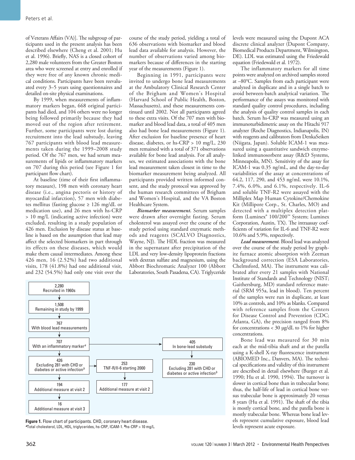of Veterans Affairs (VA)]. The subgroup of participants used in the present analysis has been described elsewhere (Cheng et al. 2001; Hu et al. 1996). Briefly, NAS is a closed cohort of 2,280 male volunteers from the Greater Boston area who were screened at entry and enrolled if they were free of any known chronic medical conditions. Participants have been reevaluated every 3–5 years using questionnaires and detailed on-site physical examinations.

By 1999, when measurements of inflammatory markers began, 668 original participants had died, and 104 others were no longer being followed primarily because they had moved out of the region after retirement. Further, some participants were lost during recruitment into the lead substudy, leaving 767 participants with blood lead measurements taken during the 1999–2008 study period. Of the 767 men, we had serum measurements of lipids or inflammatory markers on 707 during this period (see Figure 1 for participant flow chart).

At baseline (time of their first inflammatory measure), 198 men with coronary heart disease (i.e., angina pectoris or history of myocardial infarction), 57 men with diabetes mellitus (fasting glucose ≥ 126 mg/dL or medication use), and 26 men with hs-CRP > 10 mg/L (indicating active infection) were excluded, resulting in a study population of 426 men. Exclusion by disease status at baseline is based on the assumption that lead may affect the selected biomarkers in part through its effects on these diseases, which would make them causal intermediates. Among these 426 men, 16 (2.52%) had two additional visits, 178 (41.8%) had one additional visit, and 232 (54.5%) had only one visit over the

course of the study period, yielding a total of 636 observations with biomarker and blood lead data available for analysis. However, the number of observations varied among biomarkers because of differences in the starting year of the measurements (Figure 1).

Beginning in 1991, participants were invited to undergo bone lead measurements at the Ambulatory Clinical Research Center of the Brigham and Women's Hospital (Harvard School of Public Health, Boston, Massachusetts), and these measurements continued until 2002. Not all participants agreed to these extra visits. Of the 707 men with biomarker and blood lead data, a total of 405 men also had bone lead measurements (Figure 1). After exclusion for baseline presence of heart disease, diabetes, or hs-CRP > 10 mg/L, 230 men remained with a total of 371 observations available for bone lead analysis. For all analyses, we estimated associations with the bone lead measurement taken closest in time to the biomarker measurement being analyzed. All participants provided written informed consent, and the study protocol was approved by the human research committees of Brigham and Women's Hospital, and the VA Boston Healthcare System.

*Biomarker measurement.* Serum samples were drawn after overnight fasting. Serum cholesterol was assayed over the course of the study period using standard enzymatic methods and reagents (SCALVO Diagnostics, Wayne, NJ). The HDL fraction was measured in the supernatant after precipitation of the LDL and very low-density lipoprotein fractions with dextran sulfate and magnesium, using the Abbott Biochromatic Analyzer 100 (Abbott Laboratories, South Pasadena, CA). Triglyceride



**Figure 1.** Flow chart of participants. CHD, coronary heart disease. *<sup>a</sup>*Total cholesterol, LDL, HDL, triglycerides, hs-CRP, ICAM-1. *b*hs-CRP > 10 mg/L.

levels were measured using the Dupont ACA discrete clinical analyzer (Dupont Company, Biomedical Products Department, Wilmington, DE). LDL was estimated using the Friedewald equation (Friedewald et al. 1972).

The inflammatory markers for all time points were analyzed on archived samples stored at –80°C. Samples from each participant were analyzed in duplicate and in a single batch to avoid between-batch analytical variation. The performance of the assays was monitored with standard quality control procedures, including the analysis of quality control samples in each batch. Serum hs-CRP was measured using an immunoturbidimetric assay on the Hitachi 917 analyzer (Roche Diagnostics, Indianapolis, IN) with reagents and calibrators from DenkaSeiken (Niigata, Japan). Soluble ICAM-1 was measured using a quantitative sandwich enzymelinked immunosorbent assay (R&D Systems, Minneapolis, MN). Sensitivity of the assay for ICAM-1 was 0.35 ng/mL, and the day-to-day variabilities of the assay at concentrations of 64.2, 117, 290, and 453 ng/mL were 10.1%, 7.4%, 6.0%, and 6.1%, respectively. IL-6 and soluble TNF-R2 were assayed with the Milliplex Map Human Cytokine/Chemokine Kit (Millipore Corp., St. Charles, MO) and detected with a multiplex detection platform (Luminex® 100/200™ System; Luminex Corporation, Austin, TX). The intraassay coefficients of variation for IL-6 and TNF-R2 were 10.6% and 5.9%, respectively.

*Lead measurement.* Blood lead was analyzed over the course of the study period by graphite furnace atomic absorption with Zeeman background correction (ESA Laboratories, Chelmsford, MA). The instrument was calibrated after every 21 samples with National Institute of Standards and Technology (NIST; Gaithersburg, MD) standard reference material (SRM 955a, lead in blood). Ten percent of the samples were run in duplicate, at least 10% as controls, and 10% as blanks. Compared with reference samples from the Centers for Disease Control and Prevention (CDC; Atlanta, GA), the precision ranged from 8% for concentrations < 30 µg/dL to 1% for higher concentrations.

Bone lead was measured for 30 min each at the mid-tibia shaft and at the patella using a K-shell X-ray fluorescence instrument (ABIOMED Inc., Danvers, MA). The technical specifications and validity of this instrument are described in detail elsewhere (Burger et al. 1990; Hu et al. 1990, 1994). The turnover is slower in cortical bone than in trabecular bone; thus, the half-life of lead in cortical bone versus trabecular bone is approximately 20 versus 8 years (Hu et al. 1991). The shaft of the tibia is mostly cortical bone, and the patella bone is mostly trabecular bone. Whereas bone lead levels represent cumulative exposure, blood lead levels represent acute exposure.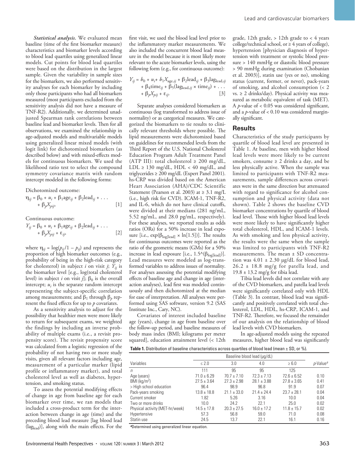*Statistical analysis.* We evaluated mean baseline (time of the first biomarker measure) characteristics and biomarker levels according to blood lead quartiles using generalized linear models. Cut points for blood lead quartiles were based on the distribution in the largest sample. Given the variability in sample sizes for the biomarkers, we also performed sensitivity analyses for each biomarker by including only those participants who had all biomarkers measured (most participants excluded from the sensitivity analysis did not have a measure of TNF-R2). Additionally, we determined unadjusted Spearman rank correlations between baseline lead and biomarker levels. Then for all observations, we examined the relationship in age-adjusted models and multivariable models using generalized linear mixed models (with logit link) for dichotomized biomarkers (as described below) and with mixed-effects models for continuous biomarkers. We used the likelihood ratio test to select the compound symmetry covariance matrix with random intercept modeled in the following forms:

Dichotomized outcome:

$$
\eta_{ij} = \beta_0 + u_i + \beta_1 \text{age}_{ij} + \beta_2 \text{lead}_{ij} + \dots
$$

$$
+ \beta_p X_{pij}, \tag{1}
$$

Continuous outcome:

$$
Y_{ij} = \beta_0 + u_i + \beta_1 \text{age}_{ij} + \beta_2 \text{lead}_{ij} + \dots
$$

$$
+ \beta_p X_{pij} + \varepsilon_{ij},
$$
 [2]

where  $\eta_{ij} = \log(p_{ij}/1 - p_{ij})$  and represents the proportion of high biomarker outcomes (e.g., probability of being in the high-risk category for cholesterol) in subject *i* on visit *j*;  $\overline{Y}_{ij}$  is the biomarker level [e.g., log(total cholesterol level) in subject *i* on visit *j*];  $\beta_0$  is the overall intercept;  $u_i$  is the separate random intercept representing the subject-specific correlation among measurements; and  $β_1$  through  $β_ρ$  represent the fixed effects for up to *p* covariates.

As a sensitivity analysis to adjust for the possibility that healthier men were more likely to return for subsequent exams, we weighted the findings by including an inverse probability of multiple exams (i.e., a revisit propensity score). The revisit propensity score was calculated from a logistic regression of the probability of not having two or more study visits, given all relevant factors including age, measurement of a particular marker (lipid profile or inflammatory marker), and total cholesterol level as well as diabetes, hypertension, and smoking status.

To assess the potential modifying effects of change in age from baseline age for each biomarker over time, we ran models that included a cross-product term for the interaction between change in age (time) and the preceding blood lead measure [lag blood lead (laglead)], along with the main effects. For the first visit, we used the blood lead level prior to the inflammatory marker measurements. We also included the concurrent blood lead measure in the model because it is most likely more relevant to the acute biomarker levels, using the following form (e.g., for continuous outcome):

$$
Y_{ij} = b_0 + u_i + b_1 X_{\text{age},ij} + \beta_2 \text{lead}_{ij} + \beta_3 \text{lag}_{\text{lead},ij} + \beta_4 \text{time}_{ij} + \beta_5 (\text{lag}_{\text{lead},ij} \times \text{time}_{ij}) + \dots + \beta_p X_{pj} + \varepsilon_{ij}.
$$
 [3]

Separate analyses considered biomarkers as continuous (log transformed to address issue of normality) or as categorical measures. We categorized the biomarkers to tie results to clinically relevant thresholds where possible. The lipid measurements were dichotomized based on guidelines for recommended levels from the Third Report of the U.S. National Cholesterol Education Program Adult Treatment Panel (ATP III): total cholesterol  $\geq 200$  mg/dL, LDL  $\geq$  130 mg/dL, HDL < 40 mg/dL, and triglycerides ≥ 200 mg/dL (Expert Panel 2001). hs-CRP was divided based on the American Heart Association (AHA)/CDC Scientific Statement (Pearson et al. 2003) at  $\geq 3.1$  mg/L (i.e., high risk for CVD). ICAM-1, TNF-R2, and IL-6, which do not have clinical cutoffs, were divided at their medians (281 ng/mL, 5.52 ng/mL, and 28.0 pg/mL, respectively). For these analyses, we reported results as odds ratios (ORs) for a 50% increase in lead exposure [i.e.,  $\exp(\beta_{\text{log}[\text{lead}]} \times \ln[1.5]))$ ]. The results for continuous outcomes were reported as the ratio of the geometric means (GMs) for a 50% increase in lead exposure [i.e.,  $1.5^{\wedge}(\beta_{\text{log}[\text{lead}]}).$ Lead measures were modeled as log-transformed variables to address issues of normality. For analyses assessing the potential modifying effects of baseline age and change in age (interaction analyses), lead first was modeled continuously and then dichotomized at the median for ease of interpretation. All analyses were performed using SAS software, version 9.2 (SAS Institute Inc., Cary, NC).

Covariates of interest included baseline age (years), change in age from baseline over the follow-up period, and baseline measures of body mass index (BMI; kilograms per meter squared], education attainment level (< 12th

grade, 12th grade,  $> 12$ th grade to  $<$  4 years college/technical school, or  $\geq 4$  years of college), hypertension [physician diagnosis of hypertension with treatment or systolic blood pressure > 140 mmHg or diastolic blood pressure > 90 mmHg during examination (Chobanian et al. 2003)], statin use (yes or no), smoking status (current, former, or never), pack-years of smoking, and alcohol consumption (< 2 vs.  $\geq$  2 drinks/day). Physical activity was measured as metabolic equivalent of task (MET). A *p*-value of < 0.05 was considered significant, and a *p*-value of < 0.10 was considered marginally significant.

### **Results**

Characteristics of the study participants by quartile of blood lead level are presented in Table 1. At baseline, men with higher blood lead levels were more likely to be current smokers, consume  $\geq 2$  drinks a day, and be less physically active. When the sample was limited to participants with TNF-R2 measurements, sample differences across covariates were in the same direction but attenuated with regard to significance for alcohol consumption and physical activity (data not shown). Table 2 shows the baseline CVD biomarker concentrations by quartile of blood lead level. Those with higher blood lead levels were more likely to have significantly higher total cholesterol, HDL, and ICAM-1 levels. As with smoking and less physical activity, the results were the same when the sample was limited to participants with TNF-R2 measurements. The mean  $\pm$  SD concentration was  $4.01 \pm 2.30$  µg/dL for blood lead, 26.2 ± 18.8 mg/g for patella lead, and  $19.8 \pm 13.2$  mg/g for tibia lead.

Tibia lead levels did not correlate with any of the CVD biomarkers, and patella lead levels were significantly correlated only with HDL (Table 3). In contrast, blood lead was significantly and positively correlated with total cholesterol, LDL, HDL, hs-CRP, ICAM-1, and TNF-R2. Therefore, we focused the remainder of our analysis on the relationship of blood lead levels with CVD biomarkers.

In age-adjusted models using the repeated measures, higher blood lead was significantly



| Variables                       | $\leq 2.0$      | 3.0             | 4.0             | $\geq 6.0$      | $p$ -Value <sup>a</sup> |
|---------------------------------|-----------------|-----------------|-----------------|-----------------|-------------------------|
| n                               | 111             | 95              | 95              | 125             |                         |
| Age (years)                     | $71.0 \pm 6.29$ | $70.7 \pm 7.10$ | $72.3 + 7.13$   | $72.6 \pm 6.52$ | 0.10                    |
| $BMI$ (kg/m <sup>2</sup> )      | $27.5 \pm 3.64$ | $27.3 \pm 2.98$ | $28.1 \pm 3.88$ | $27.8 \pm 3.65$ | 0.41                    |
| > High school education         | 96.4            | 98.9            | 96.8            | 91.9            | 0.07                    |
| Pack-years smoking              | $13.8 \pm 18.8$ | $21.1 \pm 33.0$ | $21.4 + 24.4$   | $23.7 + 28.1$   | 0.04                    |
| Current smoker                  | 1.82            | 5.26            | 3.16            | 10.0            | 0.04                    |
| Two or more drinks              | 10.0            | 24.2            | 22.1            | 25.0            | 0.02                    |
| Physical activity (MET-hr/week) | $14.5 \pm 17.8$ | $20.3 \pm 27.5$ | $16.0 \pm 17.2$ | $11.8 \pm 15.7$ | 0.02                    |
| Hypertensive                    | 57.3            | 56.8            | 59.0            | 71.0            | 0.08                    |
| Statin use                      | 24.5            | 13.7            | 22.1            | 16.1            | 0.16                    |

*<sup>a</sup>*Determined using generalized linear equation.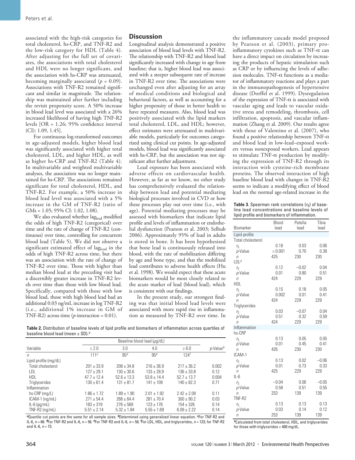associated with the high-risk categories for total cholesterol, hs-CRP, and TNF-R2 and the low-risk category for HDL (Table 4). After adjusting for the full set of covariates, the associations with total cholesterol and HDL were no longer significant, and the association with hs-CRP was attenuated, becoming marginally associated  $(p = 0.09)$ . Associations with TNF-R2 remained significant and similar in magnitude. The relationship was maintained after further including the revisit propensity score. A 50% increase in blood lead level was associated with a 26% increased likelihood of having high TNF-R2 levels [OR = 1.26; 95% confidence interval (CI): 1.09, 1.45].

For continuous log-transformed outcomes in age-adjusted models, higher blood lead was significantly associated with higher total cholesterol, LDL, and higher HDL, as well as higher hs-CRP and TNF-R2 (Table 4). In multivariable and weighted multivariable analyses, the association was no longer maintained for hs-CRP. The associations remained significant for total cholesterol, HDL, and TNF-R2. For example, a 50% increase in blood lead level was associated with a 5% increase in the GM of TNF-R2 (ratio of GMs = 1.05; 95% CI: 1.02, 1.08).

We also evaluated whether laglead modified the odds of high TNF-R2 (categorical) over time and the rate of change of TNF-R2 (continuous) over time, controlling for concurrent blood lead (Table 5). We did not observe a significant estimated effect of laglead in the odds of high TNF-R2 across time, but there was an association with the rate of change of TNF-R2 over time. Those with higher than median blood lead at the preceding visit had a discernibly greater increase in TNF-R2 levels over time than those with low blood lead. Specifically, compared with those with low blood lead, those with high blood lead had an additional 0.03 ng/mL increase in log TNF-R2 (i.e., additional 1% increase in GM of TNF-R2) across time (*p*-interaction = 0.01).

## **Discussion**

Longitudinal analysis demonstrated a positive association of blood lead levels with TNF-R2. The relationship with TNF-R2 and blood lead significantly increased with change in age from baseline; that is, higher blood lead was associated with a steeper subsequent rate of increase in TNF-R2 over time. The associations were unchanged even after adjusting for an array of medical conditions and biological and behavioral factors, as well as accounting for a higher propensity of those in better health to have repeated measures. Also, blood lead was positively associated with the lipid markers total cholesterol, LDL, and HDL; however, effect estimates were attenuated in multivariable models, particularly for outcomes categorized using clinical cut points. In age-adjusted models, blood lead was significantly associated with hs-CRP, but the association was not significant after further adjustment.

Lead exposure has been associated with adverse effects on cardiovascular health. However, as far as we know, no other study has comprehensively evaluated the relationship between lead and potential mediating biological processes involved in CVD or how these processes play out over time (i.e., with age). Potential mediating processes may be assessed with biomarkers that indicate lipid profile and levels of inflammation or endothelial dysfunction (Pearson et al. 2003; Selhub 2006). Approximately 95% of lead in adults is stored in bone. It has been hypothesized that bone lead is continuously released into blood, with the rate of mobilization differing by age and bone type, and that the mobilized lead contributes to adverse health effects (Hu et al. 1998). We would expect that these acute biomarkers would be most closely related to the acute marker of lead (blood lead), which is consistent with our findings.

In the present study, our strongest finding was that initial blood lead levels were associated with more rapid rise in inflammation as measured by TNF-R2 over time. In

the inflammatory cascade model proposed by Pearson et al. (2003), primary proinflammatory cytokines such as  $TNF-\alpha$  can have a direct impact on circulation by increasing the products of hepatic stimulation such as CRP or by influencing the levels of adhesion molecules. TNF-α functions as a mediator of inflammatory reactions and plays a part in the immunopathogenesis of hypertensive disease (Dorffel et al. 1999). Dysregulation of the expression of TNF-α is associated with vascular aging and leads to vascular oxidative stress and remodeling, thrombosis, cell infiltration, apoptosis, and vascular inflammation (Zhang et al. 2009). Our results agree with those of Valentino et al. (2007), who found a positive relationship between TNF- $\alpha$ and blood lead in low-lead–exposed workers versus nonexposed workers. Lead appears to stimulate TNF-α production by modifying the expression of TNF-R2 through its interaction with cysteine-rich membrane proteins. The observed interaction of high baseline blood lead with changes in TNF-R2 seems to indicate a modifying effect of blood lead on the normal age-related increase in the

**Table 3.** Spearman rank correlations  $(r_S)$  of baseline lead concentrations and baseline levels of lipid profile and biomarkers of inflammation.

|                            | Blood       | Patella | Tibia   |
|----------------------------|-------------|---------|---------|
| Biomarker                  | lead        | lead    | lead    |
| Lipid profile              |             |         |         |
| <b>Total cholesterol</b>   |             |         |         |
| $r_{\rm S}$                | 0.18        | 0.03    | 0.06    |
| p-Value                    | < 0.001     | 0.70    | 0.38    |
| $\eta$                     | 425         | 230     | 230     |
| LDL <sup>a</sup>           |             |         |         |
| ľs                         | 0.12        | $-0.02$ | 0.04    |
| p-Value                    | 0.01        | 0.80    | 0.51    |
| $\sqrt{n}$                 | 424         | 229     | 229     |
| <b>HDL</b>                 |             |         |         |
| ľs                         | 0.15        | 0.18    | 0.05    |
| p-Value                    | 0.002       | 0.01    | 0.41    |
| $\eta$                     | 424         | 229     | 229     |
| Triglycerides              |             |         |         |
| ľs                         | 0.03        | $-0.07$ | 0.04    |
| p-Value                    | 0.51<br>424 | 0.32    | 0.59    |
| $\sqrt{n}$<br>Inflammation |             | 229     | 229     |
| hs-CRP                     |             |         |         |
|                            | 0.13        | 0.05    | 0.05    |
| ľs<br>p-Value              | 0.01        | 0.45    | 0.41    |
| n                          | 426         | 230     | 230     |
| ICAM-1                     |             |         |         |
| ľs                         | 0.13        | 0.02    | $-0.06$ |
| p-Value                    | 0.01        | 0.73    | 0.33    |
| n                          | 425         | 229     | 229     |
| $IL-6$                     |             |         |         |
| ľs                         | $-0.04$     | 0.06    | $-0.05$ |
| p-Value                    | 0.58        | 0.51    | 0.55    |
| $\sqrt{n}$                 | 253         | 139     | 139     |
| TNF-R2                     |             |         |         |
| ľs                         | 0.13        | 0.13    | 0.13    |
| p-Value                    | 0.03        | 0.14    | 0.12    |
| n                          | 253         | 139     | 139     |

**Table 2.** Distribution of baseline levels of lipid profile and biomarkers of inflammation across quartiles of baseline blood lead (mean ± SD).*<sup>a</sup>*

| Variable              |                 | Baseline blood lead (µq/dL) |                 |                |                |  |
|-----------------------|-----------------|-----------------------------|-----------------|----------------|----------------|--|
|                       | $\leq 2.0$      | 3.0                         | 4.0             | $\geq 6.0$     | $p$ -Value $b$ |  |
| $\eta$                | 111c            | 95 <sup>d</sup>             | 95 <sup>e</sup> | $124^{f}$      |                |  |
| Lipid profile (mg/dL) |                 |                             |                 |                |                |  |
| Total cholesterol     | $201 + 33.9$    | $208 + 34.8$                | $216 + 36.9$    | $217 + 36.2$   | 0.002          |  |
| LDL                   | $127 + 29.1$    | $130 \pm 30.6$              | $133 + 28.9$    | $136 + 33.8$   | 0.12           |  |
| HDL                   | $47.7 + 12.4$   | $52.6 \pm 13.3$             | $53.8 \pm 14.4$ | $52.7 + 13.7$  | 0.004          |  |
| <b>Triglycerides</b>  | $130 + 61.4$    | $131 + 81.7$                | $141 \pm 109$   | $140 \pm 82.3$ | 0.71           |  |
| Inflammation          |                 |                             |                 |                |                |  |
| $hs-CRP$ (mg/L)       | $1.86 \pm 1.72$ | $1.89 \pm 1.90$             | $2.01 + 1.92$   | $2.42 + 2.09$  | 0.11           |  |
| $ICAM-1$ (ng/mL)      | $271 + 54.4$    | $268 + 64.4$                | $281 + 70.4$    | $300 + 90.2$   | 0.03           |  |
| $IL-6$ (pg/mL)        | $183 + 319$     | $276 + 569$                 | $123 \pm 176$   | $154 + 326$    | 0.14           |  |
| TNF-R2 (ng/mL)        | $5.51 + 2.14$   | $5.32 + 1.84$               | $5.55 + 1.69$   | $6.09 + 2.22$  | 0.14           |  |

*<sup>a</sup>*Quartile cut points are the same for all sample sizes. *<sup>b</sup>*Determined using generalized linear equation. *c*For TNF-R2 and IL-6, *n* = 66. *d*For TNF-R2 and IL-6, *n* = 56. *e*For TNF-R2 and IL-6, *n* = 58. *<sup>f</sup>* For LDL, HDL, and triglycerides, *n* = 123; for TNF-R2 and IL-6, *n* = 73.

*<sup>a</sup>*Calculated from total cholesterol, HDL, and triglycerides for those with triglycerides < 400 mg/dL.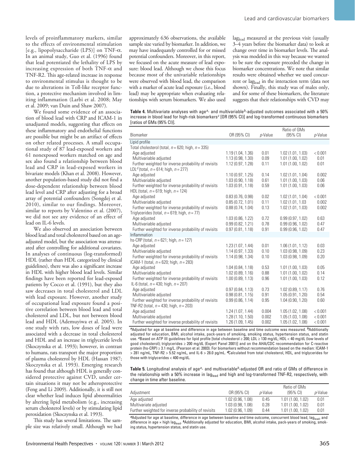levels of proinflammatory markers, similar to the effects of environmental stimulation [e.g., lipopolysaccharide (LPS)] on TNF-α. In an animal study, Guo et al. (1996) found that lead potentiated the lethality of LPS by increasing expression of both TNF- $\alpha$  and TNF-R2. This age-related increase in response to environmental stimulus is thought to be due to alterations in Toll-like receptor function, a protective mechanism involved in limiting inflammation (Larbi et al. 2008; May et al. 2009; van Duin and Shaw 2007).

We found some evidence of an association of blood lead with CRP and ICAM-1 in unadjusted models, suggesting that effects on these inflammatory and endothelial functions are possible but might be an artifact of effects on other related processes. A small occupational study of 87 lead-exposed workers and 61 nonexposed workers matched on age and sex also found a relationship between blood lead and CRP in lead-exposed workers in bivariate models (Khan et al. 2008). However, another population-based study did not find a dose-dependent relationship between blood lead level and CRP after adjusting for a broad array of potential confounders (Songdej et al. 2010), similar to our findings. Moreover, similar to reports by Valentino et al. (2007), we did not see any evidence of an effect of lead on IL-6 levels.

We also observed an association between blood lead and total cholesterol based on an ageadjusted model, but the association was attenuated after controlling for additional covariates. In analyses of continuous (log-transformed) HDL (rather than HDL categorized by clinical guidelines), there was also a significant increase in HDL with higher blood lead levels. Similar findings have been reported for lead-exposed patients by Cocco et al. (1991), but they also saw decreases in total cholesterol and LDL with lead exposure. However, another study of occupational lead exposure found a positive correlation between blood lead and total cholesterol and LDL, but not between blood lead and HDL (Ademuyiwa et al. 2005). In one study with rats, low doses of lead were associated with a decrease in total cholesterol and HDL and an increase in triglyceride levels (Skoczynska et al. 1993); however, in contrast to humans, rats transport the major proportion of plasma cholesterol by HDL (Hassan 1987; Skoczynska et al. 1993). Emerging research has found that although HDL is generally considered protective against CVD, under certain situations it may not be atheroprotective (Feng and Li 2009). Additionally, it is still not clear whether lead induces lipid abnormalities by altering lipid metabolism (e.g., increasing serum cholesterol levels) or by stimulating lipid peroxidation (Skoczynska et al. 1993).

This study has several limitations. The sample size was relatively small. Although we had approximately 636 observations, the available sample size varied by biomarker. In addition, we may have inadequately controlled for or missed potential confounders. Moreover, in this report, we focused on the acute measure of lead exposure: blood lead. Although we chose this focus because most of the univariable relationships were observed with blood lead, the comparison with a marker of acute lead exposure (i.e., blood lead) may be appropriate when evaluating relationships with serum biomarkers. We also used laglead measured at the previous visit (usually 3–4 years before the biomarker data) to look at change over time in biomarker levels. The analysis was modeled in this way because we wanted to be sure the exposure preceded the change in biomarker concentrations. We note that similar results were obtained whether we used concurrent or laglead in the interaction term (data not shown). Finally, this study was of males only, and for some of these biomarkers, the literature suggests that their relationships with CVD may

**Table 4.** Multivariate analyses with age*a*- and multivariable*b*-adjusted outcomes associated with a 50% increase in blood lead for high-risk biomarkers*c* [OR (95% CI)] and log-transformed continuous biomarkers [ratios of GMs (95% CI)].

| Biomarker                                               | OR (95% CI)       | p-Value | Ratio of GMs<br>$(95% \text{ Cl})$ | p-Value |
|---------------------------------------------------------|-------------------|---------|------------------------------------|---------|
| Lipid profile                                           |                   |         |                                    |         |
| Total cholesterol (total, $n = 620$ ; high, $n = 335$ ) |                   |         |                                    |         |
| Age adjusted                                            | 1.19(1.04, 1.36)  | 0.01    | 1.02(1.01, 1.03)                   | < 0.001 |
| Multivariable adjusted                                  | 1.13 (0.98, 1.30) | 0.09    | 1.01(1.00.1.02)                    | 0.01    |
| Further weighted for inverse probability of revisits    | 1.12(0.97, 1.28)  | 0.11    | 1.01(1.00, 1.02)                   | 0.01    |
| LDL <sup>d</sup> (total, $n = 614$ ; high, $n = 277$ )  |                   |         |                                    |         |
| Age adjusted                                            | 1.10(0.97, 1.25)  | 0.14    | 1.02(1.01, 1.04)                   | 0.002   |
| Multivariable adjusted                                  | 1.03(0.90, 1.18)  | 0.61    | 1.01(1.00, 1.03)                   | 0.06    |
| Further weighted for inverse probability of revisits    | 1.03(0.91, 1.18)  | 0.59    | 1.01(1.00, 1.03)                   | 0.06    |
| HDL (total, $n = 619$ ; high, $n = 124$ )               |                   |         |                                    |         |
| Age adjusted                                            | 0.83(0.76, 0.98)  | 0.02    | 1.02(1.01, 1.04)                   | < 0.001 |
| Multivariable adjusted                                  | 0.85(0.72, 1.01)  | 0.11    | 1.02 (1.01, 1.03                   | 0.002   |
| Further weighted for inverse probability of revisits    | 0.88(0.74, 1.04)  | 0.13    | 1.02(1.01, 1.03)                   | 0.002   |
| Triglycerides (total, $n = 619$ ; high, $n = 77$ )      |                   |         |                                    |         |
| Age adjusted                                            | 1.03 (0.86, 1.22) | 0.72    | 0.99(0.97, 1.02)                   | 0.63    |
| Multivariable adjusted                                  | 0.99(0.82, 1.21)  | 0.78    | 0.99(0.96, 1.02)                   | 0.47    |
| Further weighted for inverse probability of revisits    | 0.97(0.81, 1.18)  | 0.91    | 0.99(0.96, 1.02)                   | 0.47    |
| Inflammation                                            |                   |         |                                    |         |
| hs-CRP (total, $n = 621$ ; high, $n = 127$ )            |                   |         |                                    |         |
| Age adjusted                                            | 1.23(1.07, 1.44)  | 0.01    | 1.06(1.01, 1.12)                   | 0.03    |
| Multivariable adjusted                                  | 1.14(0.97, 1.33)  | 0.10    | 1.03 (0.98, 1.09)                  | 0.23    |
| Further weighted for inverse probability of revisits    | 1.14 (0.98, 1.34) | 0.10    | 1.03(0.98, 1.09)                   | 0.20    |
| ICAM-1 (total, $n = 620$ ; high, $n = 283$ )            |                   |         |                                    |         |
| Age adjusted                                            | 1.04(0.84, 1.18)  | 0.53    | 1.01(1.00, 1.03)                   | 0.05    |
| Multivariable adjusted                                  | 1.02(0.89, 1.16)  | 0.88    | 1.01(1.00, 1.02)                   | 0.14    |
| Further weighted for inverse probability of revisits    | 1.00(0.89, 1.13)  | 0.96    | 1.01(1.00, 1.03)                   | 0.12    |
| IL-6 (total, $n = 430$ ; high, $n = 207$ )              |                   |         |                                    |         |
| Age adjusted                                            | 0.97(0.84, 1.13)  | 0.73    | 1.02 (0.89, 1.17)                  | 0.76    |
| Multivariable adjusted                                  | 0.98(0.81, 1.15)  | 0.91    | 1.05(0.91, 1.20)                   | 0.54    |
| Further weighted for inverse probability of revisits    | 0.99(0.86, 1.14)  | 0.95    | 1.04(0.90, 1.20)                   | 0.60    |
| TNF-R2 (total, $n = 430$ ; high, $n = 203$ )            |                   |         |                                    |         |
| Age adjusted                                            | 1.24(1.07, 1.44)  | 0.004   | 1.05(1.02, 1.08)                   | < 0.001 |
| Multivariable adjusted                                  | 1.28(1.10, 1.50)  | 0.002   | 1.05(1.03, 1.08)                   | < 0.001 |
| Further weighted for inverse probability of revisits    | 1.26 (1.09, 1.45) | 0.002   | 1.05 (1.02, 1.08)                  | < 0.001 |

*<sup>a</sup>*Adjusted for age at baseline and difference in age between baseline and time outcome was measured. *<sup>b</sup>*Additionally adjusted for education, BMI, alcohol intake, pack-years of smoking, smoking status, hypertension status, and statin use. *<sup>c</sup>*Based on ATP III guidelines for lipid profile [total cholesterol ≥ 200; LDL ≥ 130 mg/dL; HDL < 40 mg/dL (low levels of good cholesterol); triglycerides ≥ 200 mg/dL (Expert Panel 2001)] and on the AHA/CDC recommendation for C-reactive protein (hs-CRP) ≥ 3.1 mg/L. (Pearson et al. 2003). For biomarkers without recommendation based on the median: ICAM-1 > 281 ng/mL, TNF-R2 > 5.52 ng/mL, and IL-6 > 28.0 pg/mL. *<sup>d</sup>*Calculated from total cholesterol, HDL, and triglycerides for those with triglycerides < 400 mg/dL.

**Table 5.** Longitudinal analysis of age*a*- and multivariable*b*-adjusted OR and ratio of GMs of difference in the relationship with a 50% increase in lag<sub>lead</sub> and high and log-transformed TNF-R2, respectively, with change in time after baseline.

| Adjustment                                           | OR (95% CI)      | <i>p</i> -Value | Ratio of GMs<br>$(95\% \text{ Cl})$ | <i>p</i> -Value |
|------------------------------------------------------|------------------|-----------------|-------------------------------------|-----------------|
| Age adjusted                                         | 1.02(0.96, 1.08) | 0.45            | 1.01(1.00, 1.02)                    | 0.01            |
| Multivariate adjusted                                | 1.03(0.98, 1.08) | 0.28            | 1.01(1.00, 1.02)                    | 0.01            |
| Further weighted for inverse probability of revisits | 1.02(0.96, 1.09) | 0.44            | 1.01(1.00, 1.02)                    | 0.01            |

<sup>a</sup>Adjusted for age at baseline, difference in age between baseline and time outcome, concurrent blood lead, lag<sub>lead</sub>, and difference in age × high lag<sub>lead</sub>. <sup>ø</sup>Additionally adjusted for education, BMI, alcohol intake, pack-years of smoking, smok-<br>ing status, hypertension status, and statin use.